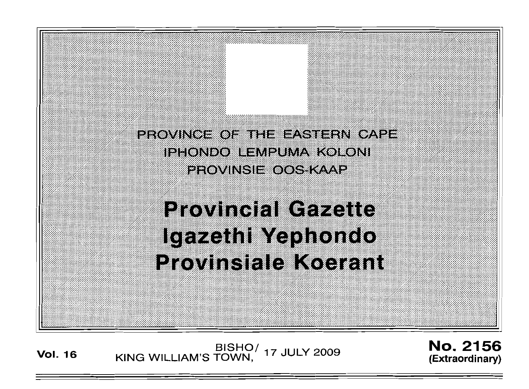PROVINCE OF THE EASTERN CAPE IPHONDO LEMPUMA KOLONI **EFOVINSIEKOOS KAAP** 

**Provincial Gazette** Igazethi Yephondo Provinsiale Koerant

**Vol. <sup>16</sup>** BISHO/ . KING WILLIAM'S TOWN, <sup>17</sup> JULY .2009

No. 2156 (Extraordinary)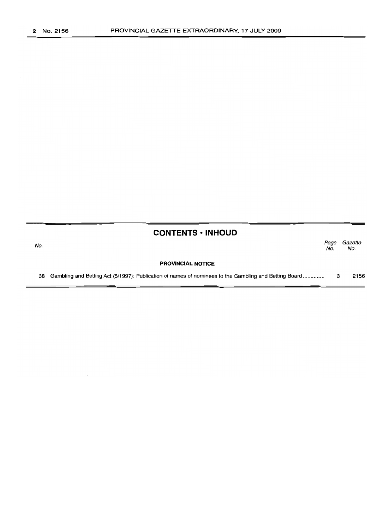## **CONTENTS· INHOUD**

| No. |                                                                                                       | Page<br>No. | Gazette<br>No. |
|-----|-------------------------------------------------------------------------------------------------------|-------------|----------------|
|     | <b>PROVINCIAL NOTICE</b>                                                                              |             |                |
| 38  | Gambling and Betting Act (5/1997): Publication of names of nominees to the Gambling and Betting Board |             | 2156           |